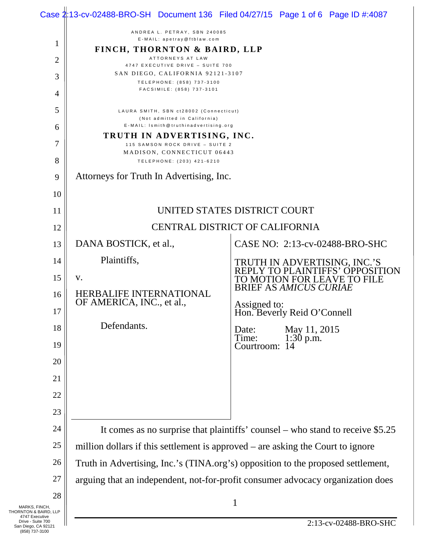|                                                            |                                                                                  | Case 2:13-cv-02488-BRO-SH Document 136 Filed 04/27/15 Page 1 of 6 Page ID #:4087                                                |  |
|------------------------------------------------------------|----------------------------------------------------------------------------------|---------------------------------------------------------------------------------------------------------------------------------|--|
|                                                            | ANDREA L. PETRAY, SBN 240085<br>E-MAIL: apetray@ftblaw.com                       |                                                                                                                                 |  |
| $\mathbf{1}$                                               | FINCH, THORNTON & BAIRD, LLP                                                     |                                                                                                                                 |  |
| 2                                                          | ATTORNEYS AT LAW<br>4747 EXECUTIVE DRIVE - SUITE 700                             |                                                                                                                                 |  |
| 3                                                          | SAN DIEGO, CALIFORNIA 92121-3107<br>TELEPHONE: (858) 737-3100                    |                                                                                                                                 |  |
| 4                                                          | FACSIMILE: (858) 737-3101                                                        |                                                                                                                                 |  |
| 5                                                          | LAURA SMITH, SBN ct28002 (Connecticut)                                           |                                                                                                                                 |  |
| 6                                                          | (Not admitted in California)<br>E-MAIL: Ismith@truthinadvertising.org            |                                                                                                                                 |  |
| 7                                                          | TRUTH IN ADVERTISING, INC.<br>115 SAMSON ROCK DRIVE - SUITE 2                    |                                                                                                                                 |  |
| 8                                                          | MADISON, CONNECTICUT 06443<br>TELEPHONE: (203) 421-6210                          |                                                                                                                                 |  |
| 9                                                          | Attorneys for Truth In Advertising, Inc.                                         |                                                                                                                                 |  |
| 10                                                         |                                                                                  |                                                                                                                                 |  |
| 11                                                         | UNITED STATES DISTRICT COURT                                                     |                                                                                                                                 |  |
| 12                                                         | CENTRAL DISTRICT OF CALIFORNIA                                                   |                                                                                                                                 |  |
| 13                                                         | DANA BOSTICK, et al.,                                                            | CASE NO: 2:13-cv-02488-BRO-SHC                                                                                                  |  |
| 14                                                         | Plaintiffs,                                                                      |                                                                                                                                 |  |
| 15                                                         | V.                                                                               | TRUTH IN ADVERTISING, INC.'S<br>REPLY TO PLAINTIFFS' OPPOSITION<br>TO MOTION FOR LEAVE TO FILE<br><b>BRIEF AS AMICUS CURIAE</b> |  |
| 16                                                         | <b>HERBALIFE INTERNATIONAL</b><br>OF AMERICA, INC., et al.,                      |                                                                                                                                 |  |
| 17                                                         |                                                                                  | Assigned to:<br>Hon. Beverly Reid O'Connell                                                                                     |  |
| 18                                                         | Defendants.                                                                      | May 11, 2015<br>Date:                                                                                                           |  |
| 19                                                         |                                                                                  | Time:<br>$1:30$ p.m.<br>Courtroom:                                                                                              |  |
| 20                                                         |                                                                                  |                                                                                                                                 |  |
| 21                                                         |                                                                                  |                                                                                                                                 |  |
| 22                                                         |                                                                                  |                                                                                                                                 |  |
| 23                                                         |                                                                                  |                                                                                                                                 |  |
| 24                                                         | It comes as no surprise that plaintiffs' counsel – who stand to receive \$5.25   |                                                                                                                                 |  |
| 25                                                         | million dollars if this settlement is approved – are asking the Court to ignore  |                                                                                                                                 |  |
| 26                                                         | Truth in Advertising, Inc.'s (TINA.org's) opposition to the proposed settlement, |                                                                                                                                 |  |
| 27                                                         | arguing that an independent, not-for-profit consumer advocacy organization does  |                                                                                                                                 |  |
| 28                                                         |                                                                                  | 1                                                                                                                               |  |
| MARKS, FINCH,<br>THORNTON & BAIRD, LLP<br>4747 Executive   |                                                                                  |                                                                                                                                 |  |
| Drive - Suite 700<br>San Diego, CA 92121<br>(858) 737-3100 |                                                                                  | 2:13-cv-02488-BRO-SHC                                                                                                           |  |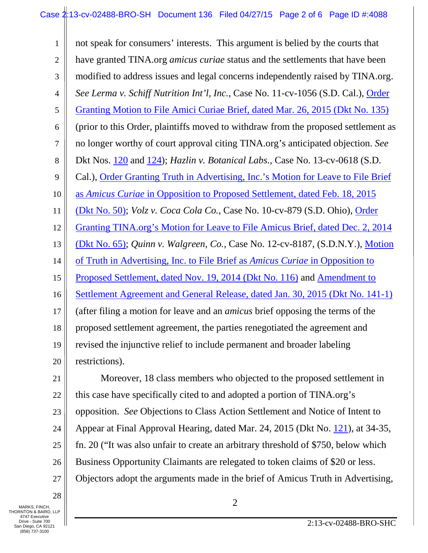1 2 3 4 5 6 7 8 9 10 11 12 13 14 15 16 17 18 19 20 21 22 not speak for consumers' interests. This argument is belied by the courts that have granted TINA.org *amicus curiae* status and the settlements that have been modified to address issues and legal concerns independently raised by TINA.org. *See Lerma v. Schiff Nutrition Int'l, Inc.*, Case No. 11-cv-1056 (S.D. Cal.), [Order](https://www.truthinadvertising.org/wp-content/uploads/2015/03/move-free-order-granting-motion-for-leave-.pdf)  [Granting Motion to File Amici Curiae Brief, dated Mar. 26, 2015 \(Dkt No. 135\)](https://www.truthinadvertising.org/wp-content/uploads/2015/03/move-free-order-granting-motion-for-leave-.pdf) (prior to this Order, plaintiffs moved to withdraw from the proposed settlement as no longer worthy of court approval citing TINA.org's anticipated objection. *See*  Dkt Nos. [120](https://www.truthinadvertising.org/wp-content/uploads/2015/03/Lerma-Plts-Motion-to-Withdraw.pdf) and [124\)](https://www.truthinadvertising.org/wp-content/uploads/2015/03/Lerma-Plaintiffs-Reply.pdf); *Hazlin v. Botanical Labs.,* Case No. 13-cv-0618 (S.D. Cal.), [Order Granting Truth in Advertising, Inc.'s Motion for Leave to File Brief](https://www.truthinadvertising.org/wp-content/uploads/2015/02/Order-granting-TINA-motion.pdf)  as *Amicus Curiae* [in Opposition to Proposed Settlement, dated Feb. 18, 2015](https://www.truthinadvertising.org/wp-content/uploads/2015/02/Order-granting-TINA-motion.pdf)  [\(Dkt No. 50\);](https://www.truthinadvertising.org/wp-content/uploads/2015/02/Order-granting-TINA-motion.pdf) *Volz v. Coca Cola Co.,* Case No. 10-cv-879 (S.D. Ohio), [Order](https://www.truthinadvertising.org/wp-content/uploads/2015/03/vitaminwater-order-granting-motion-for-leave.pdf)  [Granting TINA.org's Motion for Leave to File](https://www.truthinadvertising.org/wp-content/uploads/2015/03/vitaminwater-order-granting-motion-for-leave.pdf) Amicus Brief, dated Dec. 2, 2014 [\(Dkt No. 65\);](https://www.truthinadvertising.org/wp-content/uploads/2015/03/vitaminwater-order-granting-motion-for-leave.pdf) *Quinn v. Walgreen, Co.,* Case No. 12-cv-8187, (S.D.N.Y.), [Motion](https://www.truthinadvertising.org/wp-content/uploads/2014/11/Glucosamine-MOTION-EXHIBITS.pdf)  [of Truth in Advertising, Inc. to File Brief as](https://www.truthinadvertising.org/wp-content/uploads/2014/11/Glucosamine-MOTION-EXHIBITS.pdf) *Amicus Curiae* in Opposition to [Proposed Settlement, dated Nov. 19, 2014 \(Dkt No. 116\)](https://www.truthinadvertising.org/wp-content/uploads/2014/11/Glucosamine-MOTION-EXHIBITS.pdf) and [Amendment to](https://www.truthinadvertising.org/wp-content/uploads/2015/02/Glucosamine-Amendment-to-Settlement.pdf)  [Settlement Agreement and General Release, dated Jan. 30, 2015 \(Dkt No. 141-1\)](https://www.truthinadvertising.org/wp-content/uploads/2015/02/Glucosamine-Amendment-to-Settlement.pdf) (after filing a motion for leave and an *amicus* brief opposing the terms of the proposed settlement agreement, the parties renegotiated the agreement and revised the injunctive relief to include permanent and broader labeling restrictions). Moreover, 18 class members who objected to the proposed settlement in this case have specifically cited to and adopted a portion of TINA.org's

23 opposition. *See* Objections to Class Action Settlement and Notice of Intent to

24 Appear at Final Approval Hearing, dated Mar. 24, 2015 (Dkt No. [121\)](https://ecf.cacd.uscourts.gov/doc1/031020851329), at 34-35,

25 fn. 20 ("It was also unfair to create an arbitrary threshold of \$750, below which

26 Business Opportunity Claimants are relegated to token claims of \$20 or less.

27 Objectors adopt the arguments made in the brief of Amicus Truth in Advertising,

28 MARKS, FINCH,  $\begin{array}{|c|c|c|c|c|}\n\hline\n2 & 2 & 2\n\end{array}$ 

THORNTON & BAIRD, LLP 4747 Executive Drive - Suite 700 San Diego, CA 92121 (858) 737-3100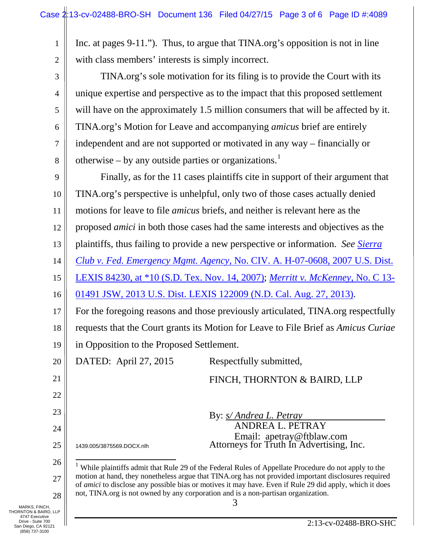<span id="page-2-0"></span>

| 1                                                                                                                      | Inc. at pages 9-11."). Thus, to argue that TINA.org's opposition is not in line                                                                                                                                 |                                                                                   |  |
|------------------------------------------------------------------------------------------------------------------------|-----------------------------------------------------------------------------------------------------------------------------------------------------------------------------------------------------------------|-----------------------------------------------------------------------------------|--|
| $\overline{2}$                                                                                                         | with class members' interests is simply incorrect.                                                                                                                                                              |                                                                                   |  |
| 3                                                                                                                      | TINA.org's sole motivation for its filing is to provide the Court with its                                                                                                                                      |                                                                                   |  |
| 4                                                                                                                      | unique expertise and perspective as to the impact that this proposed settlement                                                                                                                                 |                                                                                   |  |
| 5                                                                                                                      | will have on the approximately 1.5 million consumers that will be affected by it.                                                                                                                               |                                                                                   |  |
| 6                                                                                                                      | TINA.org's Motion for Leave and accompanying amicus brief are entirely                                                                                                                                          |                                                                                   |  |
| 7                                                                                                                      | independent and are not supported or motivated in any way – financially or                                                                                                                                      |                                                                                   |  |
| 8                                                                                                                      | otherwise – by any outside parties or organizations. $1$                                                                                                                                                        |                                                                                   |  |
| 9                                                                                                                      | Finally, as for the 11 cases plaintiffs cite in support of their argument that                                                                                                                                  |                                                                                   |  |
| 10                                                                                                                     | TINA.org's perspective is unhelpful, only two of those cases actually denied                                                                                                                                    |                                                                                   |  |
| 11                                                                                                                     | motions for leave to file <i>amicus</i> briefs, and neither is relevant here as the                                                                                                                             |                                                                                   |  |
| 12                                                                                                                     | proposed <i>amici</i> in both those cases had the same interests and objectives as the                                                                                                                          |                                                                                   |  |
| 13                                                                                                                     |                                                                                                                                                                                                                 | plaintiffs, thus failing to provide a new perspective or information. See Sierra  |  |
| 14                                                                                                                     | Club v. Fed. Emergency Mgmt. Agency, No. CIV. A. H-07-0608, 2007 U.S. Dist.                                                                                                                                     |                                                                                   |  |
| 15                                                                                                                     | <u>LEXIS 84230, at *10 (S.D. Tex. Nov. 14, 2007); Merritt v. McKenney, No. C 13-</u>                                                                                                                            |                                                                                   |  |
| 16                                                                                                                     |                                                                                                                                                                                                                 | 01491 JSW, 2013 U.S. Dist. LEXIS 122009 (N.D. Cal. Aug. 27, 2013).                |  |
| 17                                                                                                                     |                                                                                                                                                                                                                 | For the foregoing reasons and those previously articulated, TINA.org respectfully |  |
| 18                                                                                                                     | requests that the Court grants its Motion for Leave to File Brief as Amicus Curiae                                                                                                                              |                                                                                   |  |
| 19                                                                                                                     | in Opposition to the Proposed Settlement.                                                                                                                                                                       |                                                                                   |  |
| 20                                                                                                                     | DATED: April 27, 2015<br>Respectfully submitted,                                                                                                                                                                |                                                                                   |  |
| 21                                                                                                                     |                                                                                                                                                                                                                 | FINCH, THORNTON & BAIRD, LLP                                                      |  |
| 22                                                                                                                     |                                                                                                                                                                                                                 |                                                                                   |  |
| 23                                                                                                                     | By: <i>s/ Andrea L. Petray</i>                                                                                                                                                                                  |                                                                                   |  |
| 24                                                                                                                     | ANDREA L. PETRAY                                                                                                                                                                                                | Email: apetray@ftblaw.com                                                         |  |
| 25                                                                                                                     | 1439.005/3875569.DOCX.nlh                                                                                                                                                                                       | Attorneys for Truth In Advertising, Inc.                                          |  |
| 26                                                                                                                     | <sup>1</sup> While plaintiffs admit that Rule 29 of the Federal Rules of Appellate Procedure do not apply to the                                                                                                |                                                                                   |  |
| 27                                                                                                                     | motion at hand, they nonetheless argue that TINA.org has not provided important disclosures required<br>of amici to disclose any possible bias or motives it may have. Even if Rule 29 did apply, which it does |                                                                                   |  |
| 28                                                                                                                     | not, TINA.org is not owned by any corporation and is a non-partisan organization.<br>3                                                                                                                          |                                                                                   |  |
| MARKS, FINCH,<br>THORNTON & BAIRD, LLP<br>4747 Executive<br>Drive - Suite 700<br>San Diego, CA 92121<br>(858) 737-3100 |                                                                                                                                                                                                                 | 2:13-cv-02488-BRO-SHC                                                             |  |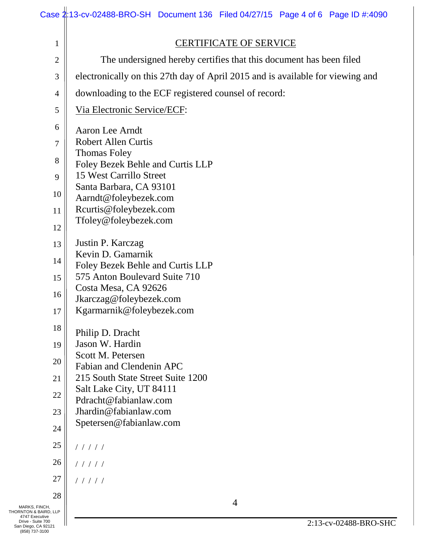|                                                            | Case 2:13-cv-02488-BRO-SH Document 136 Filed 04/27/15 Page 4 of 6 Page ID #:4090 |  |  |  |
|------------------------------------------------------------|----------------------------------------------------------------------------------|--|--|--|
| $\mathbf{1}$                                               | <b>CERTIFICATE OF SERVICE</b>                                                    |  |  |  |
| $\overline{2}$                                             | The undersigned hereby certifies that this document has been filed               |  |  |  |
| 3                                                          | electronically on this 27th day of April 2015 and is available for viewing and   |  |  |  |
| 4                                                          | downloading to the ECF registered counsel of record:                             |  |  |  |
| 5                                                          | Via Electronic Service/ECF:                                                      |  |  |  |
| 6                                                          | Aaron Lee Arndt                                                                  |  |  |  |
| 7                                                          | <b>Robert Allen Curtis</b>                                                       |  |  |  |
| 8                                                          | <b>Thomas Foley</b>                                                              |  |  |  |
|                                                            | Foley Bezek Behle and Curtis LLP                                                 |  |  |  |
| 9                                                          | 15 West Carrillo Street<br>Santa Barbara, CA 93101                               |  |  |  |
| 10                                                         | Aarndt@foleybezek.com                                                            |  |  |  |
| 11                                                         | Rcurtis@foleybezek.com                                                           |  |  |  |
| 12                                                         | Tfoley@foleybezek.com                                                            |  |  |  |
| 13                                                         | Justin P. Karczag                                                                |  |  |  |
| 14                                                         | Kevin D. Gamarnik                                                                |  |  |  |
|                                                            | Foley Bezek Behle and Curtis LLP                                                 |  |  |  |
| 15                                                         | 575 Anton Boulevard Suite 710<br>Costa Mesa, CA 92626                            |  |  |  |
| 16                                                         | Jkarczag@foleybezek.com                                                          |  |  |  |
| 17                                                         | Kgarmarnik@foleybezek.com                                                        |  |  |  |
| 18                                                         | Philip D. Dracht                                                                 |  |  |  |
| 19                                                         | Jason W. Hardin                                                                  |  |  |  |
| 20                                                         | Scott M. Petersen                                                                |  |  |  |
| 21                                                         | Fabian and Clendenin APC<br>215 South State Street Suite 1200                    |  |  |  |
|                                                            | Salt Lake City, UT 84111                                                         |  |  |  |
| 22                                                         | Pdracht@fabianlaw.com                                                            |  |  |  |
| 23                                                         | Jhardin@fabianlaw.com                                                            |  |  |  |
| 24                                                         | Spetersen@fabianlaw.com                                                          |  |  |  |
| 25                                                         | 11111                                                                            |  |  |  |
| 26                                                         | 11111                                                                            |  |  |  |
| 27                                                         | 11111                                                                            |  |  |  |
| 28                                                         |                                                                                  |  |  |  |
| MARKS, FINCH,<br>THORNTON & BAIRD, LLP<br>4747 Executive   | $\overline{4}$                                                                   |  |  |  |
| Drive - Suite 700<br>San Diego, CA 92121<br>(858) 737-3100 | 2:13-cv-02488-BRO-SHC                                                            |  |  |  |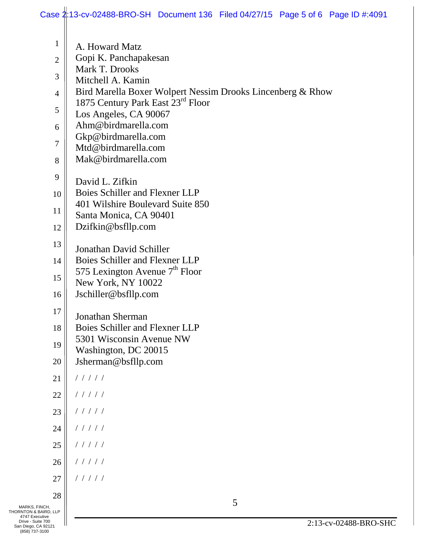|                                                            | Case 2:13-cv-02488-BRO-SH Document 136 Filed 04/27/15 Page 5 of 6 Page ID #:4091 |
|------------------------------------------------------------|----------------------------------------------------------------------------------|
| $\mathbf{1}$                                               | A. Howard Matz                                                                   |
| $\overline{2}$                                             | Gopi K. Panchapakesan                                                            |
| 3                                                          | Mark T. Drooks<br>Mitchell A. Kamin                                              |
| $\overline{4}$                                             | Bird Marella Boxer Wolpert Nessim Drooks Lincenberg & Rhow                       |
| 5                                                          | 1875 Century Park East 23rd Floor                                                |
| 6                                                          | Los Angeles, CA 90067<br>Ahm@birdmarella.com                                     |
|                                                            | Gkp@birdmarella.com                                                              |
| 7                                                          | Mtd@birdmarella.com                                                              |
| 8                                                          | Mak@birdmarella.com                                                              |
| 9                                                          | David L. Zifkin                                                                  |
| 10                                                         | Boies Schiller and Flexner LLP<br>401 Wilshire Boulevard Suite 850               |
| 11                                                         | Santa Monica, CA 90401                                                           |
| 12                                                         | Dzifkin@bsfllp.com                                                               |
| 13                                                         | Jonathan David Schiller                                                          |
| 14                                                         | Boies Schiller and Flexner LLP                                                   |
| 15                                                         | 575 Lexington Avenue 7 <sup>th</sup> Floor<br>New York, NY 10022                 |
| 16                                                         | Jschiller@bsfllp.com                                                             |
| 17                                                         |                                                                                  |
| 18                                                         | Jonathan Sherman<br>Boies Schiller and Flexner LLP                               |
| 19                                                         | 5301 Wisconsin Avenue NW                                                         |
| 20                                                         | Washington, DC 20015<br>Jsherman@bsfllp.com                                      |
| 21                                                         | 11111                                                                            |
| 22                                                         | 11111                                                                            |
| 23                                                         | 11111                                                                            |
| 24                                                         | 11111                                                                            |
| 25                                                         | 11111                                                                            |
| 26                                                         | 11111                                                                            |
| 27                                                         | 11111                                                                            |
| 28                                                         |                                                                                  |
| MARKS, FINCH,<br>THORNTON & BAIRD, LLP                     | 5                                                                                |
| 4747 Executive<br>Drive - Suite 700<br>San Diego, CA 92121 | 2:13-cv-02488-BRO-SHC                                                            |
| (858) 737-3100                                             |                                                                                  |